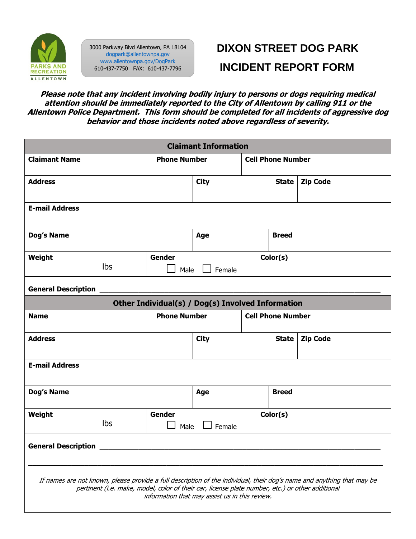

3000 Parkway Blvd Allentown, PA 18104 [dogpark@allentownpa.gov](mailto:dogpark@allentownpa.gov) [www.allentownpa.gov/DogPark](http://www.allentownpa.gov/DogPark) 610-437-7750 FAX: 610-437-7796

## **DIXON STREET DOG PARK INCIDENT REPORT FORM**

**Please note that any incident involving bodily injury to persons or dogs requiring medical attention should be immediately reported to the City of Allentown by calling 911 or the Allentown Police Department. This form should be completed for all incidents of aggressive dog behavior and those incidents noted above regardless of severity.**

| <b>Claimant Information</b>                                                                                                                                                                                                                                                  |                              |                     |             |  |                          |                          |  |  |
|------------------------------------------------------------------------------------------------------------------------------------------------------------------------------------------------------------------------------------------------------------------------------|------------------------------|---------------------|-------------|--|--------------------------|--------------------------|--|--|
| <b>Claimant Name</b>                                                                                                                                                                                                                                                         |                              | <b>Phone Number</b> |             |  |                          | <b>Cell Phone Number</b> |  |  |
| <b>Address</b>                                                                                                                                                                                                                                                               |                              |                     | <b>City</b> |  | <b>State</b>             | <b>Zip Code</b>          |  |  |
| <b>E-mail Address</b>                                                                                                                                                                                                                                                        |                              |                     |             |  |                          |                          |  |  |
| Dog's Name                                                                                                                                                                                                                                                                   |                              |                     | Age         |  | <b>Breed</b>             |                          |  |  |
| Weight                                                                                                                                                                                                                                                                       | <b>lbs</b>                   | Gender<br>Male      | Female      |  | Color(s)                 |                          |  |  |
| <b>General Description</b>                                                                                                                                                                                                                                                   |                              |                     |             |  |                          |                          |  |  |
| Other Individual(s) / Dog(s) Involved Information                                                                                                                                                                                                                            |                              |                     |             |  |                          |                          |  |  |
| <b>Name</b>                                                                                                                                                                                                                                                                  |                              | <b>Phone Number</b> |             |  | <b>Cell Phone Number</b> |                          |  |  |
| <b>Address</b>                                                                                                                                                                                                                                                               |                              |                     | <b>City</b> |  | <b>State</b>             | <b>Zip Code</b>          |  |  |
| <b>E-mail Address</b>                                                                                                                                                                                                                                                        |                              |                     |             |  |                          |                          |  |  |
| <b>Dog's Name</b>                                                                                                                                                                                                                                                            |                              |                     | Age         |  | <b>Breed</b>             |                          |  |  |
| Weight                                                                                                                                                                                                                                                                       | <b>Gender</b><br>Ibs<br>Male |                     | Female      |  | Color(s)                 |                          |  |  |
| <b>General Description</b>                                                                                                                                                                                                                                                   |                              |                     |             |  |                          |                          |  |  |
| If names are not known, please provide a full description of the individual, their dog's name and anything that may be<br>pertinent (i.e. make, model, color of their car, license plate number, etc.) or other additional<br>information that may assist us in this review. |                              |                     |             |  |                          |                          |  |  |